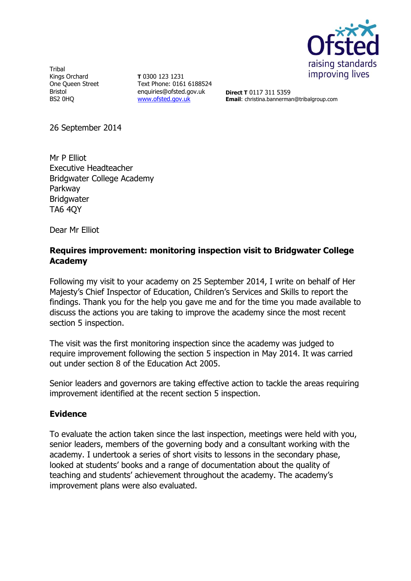

**Tribal** Kings Orchard One Queen Street Bristol BS2 0HQ

**T** 0300 123 1231 Text Phone: 0161 6188524 enquiries@ofsted.gov.uk [www.ofsted.gov.uk](http://www.ofsted.gov.uk/)

**Direct T** 0117 311 5359 **Email**: christina.bannerman@tribalgroup.com

26 September 2014

Mr P Elliot Executive Headteacher Bridgwater College Academy Parkway **Bridgwater** TA6 4QY

Dear Mr Elliot

## **Requires improvement: monitoring inspection visit to Bridgwater College Academy**

Following my visit to your academy on 25 September 2014, I write on behalf of Her Majesty's Chief Inspector of Education, Children's Services and Skills to report the findings. Thank you for the help you gave me and for the time you made available to discuss the actions you are taking to improve the academy since the most recent section 5 inspection.

The visit was the first monitoring inspection since the academy was judged to require improvement following the section 5 inspection in May 2014. It was carried out under section 8 of the Education Act 2005.

Senior leaders and governors are taking effective action to tackle the areas requiring improvement identified at the recent section 5 inspection.

#### **Evidence**

To evaluate the action taken since the last inspection, meetings were held with you, senior leaders, members of the governing body and a consultant working with the academy. I undertook a series of short visits to lessons in the secondary phase, looked at students' books and a range of documentation about the quality of teaching and students' achievement throughout the academy. The academy's improvement plans were also evaluated.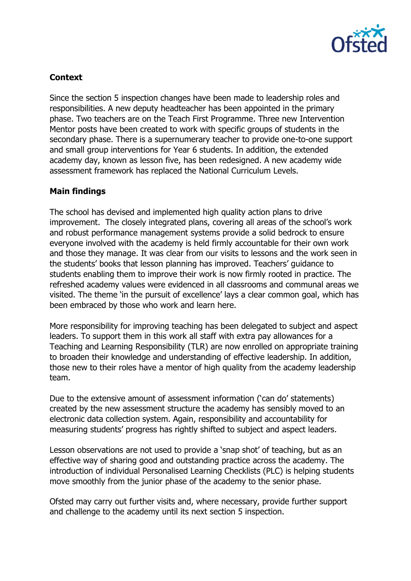

# **Context**

Since the section 5 inspection changes have been made to leadership roles and responsibilities. A new deputy headteacher has been appointed in the primary phase. Two teachers are on the Teach First Programme. Three new Intervention Mentor posts have been created to work with specific groups of students in the secondary phase. There is a supernumerary teacher to provide one-to-one support and small group interventions for Year 6 students. In addition, the extended academy day, known as lesson five, has been redesigned. A new academy wide assessment framework has replaced the National Curriculum Levels.

## **Main findings**

The school has devised and implemented high quality action plans to drive improvement. The closely integrated plans, covering all areas of the school's work and robust performance management systems provide a solid bedrock to ensure everyone involved with the academy is held firmly accountable for their own work and those they manage. It was clear from our visits to lessons and the work seen in the students' books that lesson planning has improved. Teachers' guidance to students enabling them to improve their work is now firmly rooted in practice. The refreshed academy values were evidenced in all classrooms and communal areas we visited. The theme 'in the pursuit of excellence' lays a clear common goal, which has been embraced by those who work and learn here.

More responsibility for improving teaching has been delegated to subject and aspect leaders. To support them in this work all staff with extra pay allowances for a Teaching and Learning Responsibility (TLR) are now enrolled on appropriate training to broaden their knowledge and understanding of effective leadership. In addition, those new to their roles have a mentor of high quality from the academy leadership team.

Due to the extensive amount of assessment information ('can do' statements) created by the new assessment structure the academy has sensibly moved to an electronic data collection system. Again, responsibility and accountability for measuring students' progress has rightly shifted to subject and aspect leaders.

Lesson observations are not used to provide a 'snap shot' of teaching, but as an effective way of sharing good and outstanding practice across the academy. The introduction of individual Personalised Learning Checklists (PLC) is helping students move smoothly from the junior phase of the academy to the senior phase.

Ofsted may carry out further visits and, where necessary, provide further support and challenge to the academy until its next section 5 inspection.